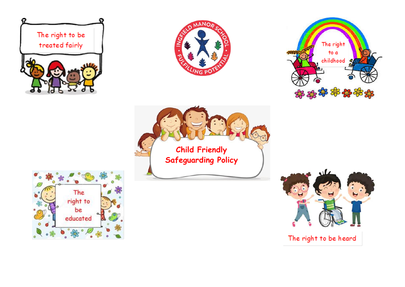









 $U$ 

The right to be heard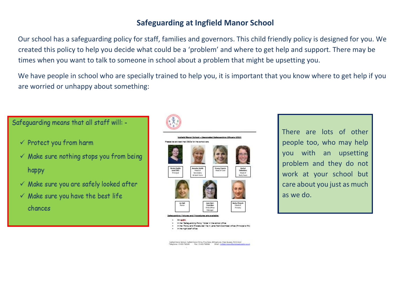## **Safeguarding at Ingfield Manor School**

Our school has a safeguarding policy for staff, families and governors. This child friendly policy is designed for you. We created this policy to help you decide what could be a 'problem' and where to get help and support. There may be times when you want to talk to someone in school about a problem that might be upsetting you.

We have people in school who are specially trained to help you, it is important that you know where to get help if you are worried or unhappy about something:



There are lots of other people too, who may help you with an upsetting problem and they do not work at your school but care about you just as much as we do.

Ingfield Manor School, Ingfield Manor Drive, Five Coles, Billingshums, West Sussex, RH 54 9400<br>Telephone: 05609 782094 Fax: 01409 760060 Ernel : Indfield manorifismbloedscation on all

## Safeguarding means that all staff will: -

- $\checkmark$  Protect you from harm
- $\checkmark$  Make sure nothing stops you from being happy
- $\checkmark$  Make sure you are safely looked after
- $\checkmark$  Make sure you have the best life chances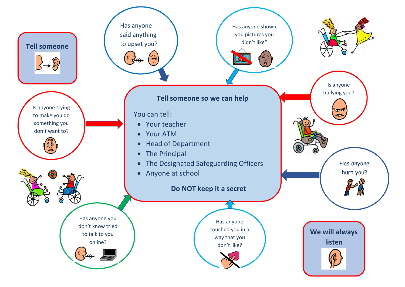